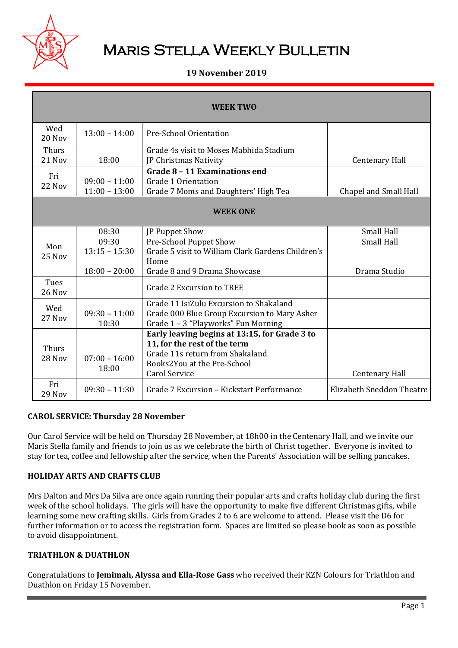

# **MARIS STELLA WEEKLY BULLETIN**

## **19 November 2019**

| <b>WEEK TWO</b>        |                                                      |                                                                                                                                                                         |                                                        |  |
|------------------------|------------------------------------------------------|-------------------------------------------------------------------------------------------------------------------------------------------------------------------------|--------------------------------------------------------|--|
| Wed<br>20 Nov          | $13:00 - 14:00$                                      | Pre-School Orientation                                                                                                                                                  |                                                        |  |
| <b>Thurs</b><br>21 Nov | 18:00                                                | Grade 4s visit to Moses Mabhida Stadium<br>JP Christmas Nativity                                                                                                        | <b>Centenary Hall</b>                                  |  |
| Fri<br>22 Nov          | $09:00 - 11:00$<br>$11:00 - 13:00$                   | Grade 8 - 11 Examinations end<br><b>Grade 1 Orientation</b><br>Grade 7 Moms and Daughters' High Tea                                                                     | Chapel and Small Hall                                  |  |
| <b>WEEK ONE</b>        |                                                      |                                                                                                                                                                         |                                                        |  |
| Mon<br>$25$ Nov        | 08:30<br>09:30<br>$13:15 - 15:30$<br>$18:00 - 20:00$ | JP Puppet Show<br>Pre-School Puppet Show<br>Grade 5 visit to William Clark Gardens Children's<br>Home<br>Grade 8 and 9 Drama Showcase                                   | <b>Small Hall</b><br><b>Small Hall</b><br>Drama Studio |  |
| Tues<br>26 Nov         |                                                      | Grade 2 Excursion to TREE                                                                                                                                               |                                                        |  |
| Wed<br>27 Nov          | $09:30 - 11:00$<br>10:30                             | Grade 11 IsiZulu Excursion to Shakaland<br>Grade 000 Blue Group Excursion to Mary Asher<br>Grade 1 - 3 "Playworks" Fun Morning                                          |                                                        |  |
| <b>Thurs</b><br>28 Nov | $07:00 - 16:00$<br>18:00                             | Early leaving begins at 13:15, for Grade 3 to<br>11, for the rest of the term<br>Grade 11s return from Shakaland<br>Books2You at the Pre-School<br><b>Carol Service</b> | <b>Centenary Hall</b>                                  |  |
| Fri<br>29 Nov          | $09:30 - 11:30$                                      | Grade 7 Excursion - Kickstart Performance                                                                                                                               | <b>Elizabeth Sneddon Theatre</b>                       |  |

#### **CAROL SERVICE: Thursday 28 November**

Our Carol Service will be held on Thursday 28 November, at 18h00 in the Centenary Hall, and we invite our Maris Stella family and friends to join us as we celebrate the birth of Christ together. Everyone is invited to stay for tea, coffee and fellowship after the service, when the Parents' Association will be selling pancakes.

#### **HOLIDAY ARTS AND CRAFTS CLUB**

Mrs Dalton and Mrs Da Silva are once again running their popular arts and crafts holiday club during the first week of the school holidays. The girls will have the opportunity to make five different Christmas gifts, while learning some new crafting skills. Girls from Grades 2 to 6 are welcome to attend. Please visit the D6 for further information or to access the registration form. Spaces are limited so please book as soon as possible to avoid disappointment.

#### **TRIATHLON & DUATHLON**

Congratulations to **Jemimah, Alyssa and Ella-Rose Gass** who received their KZN Colours for Triathlon and Duathlon on Friday 15 November.